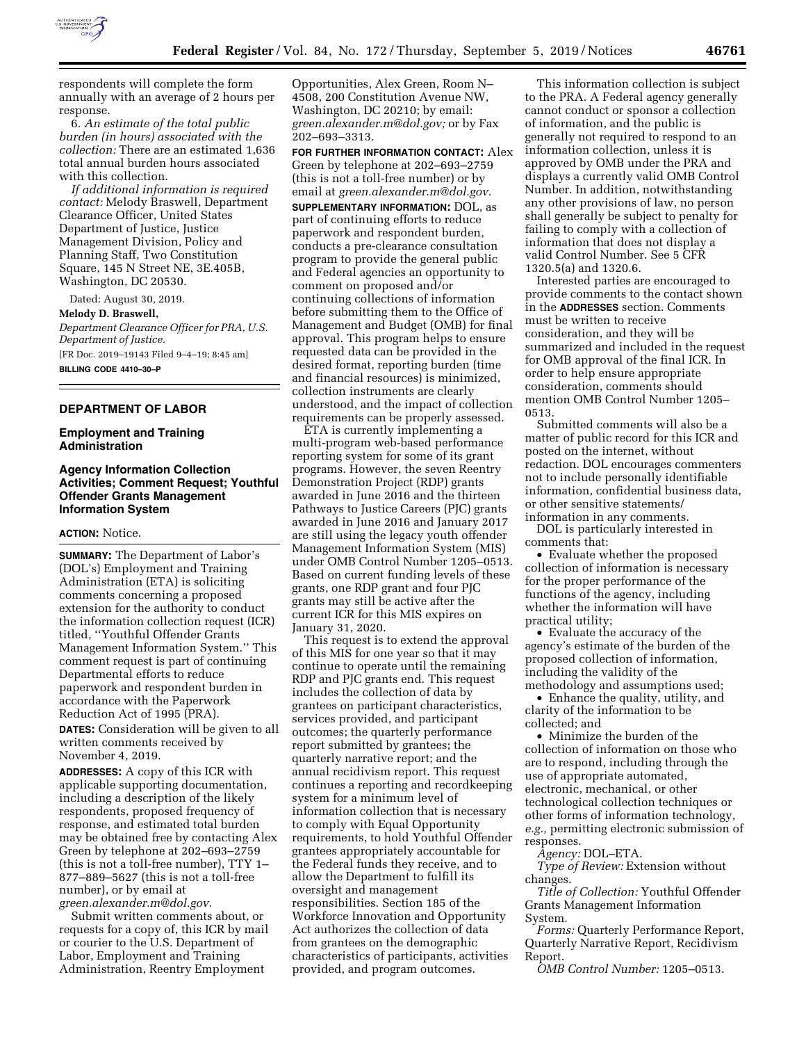

respondents will complete the form annually with an average of 2 hours per response.

6. *An estimate of the total public burden (in hours) associated with the collection:* There are an estimated 1,636 total annual burden hours associated with this collection.

*If additional information is required contact:* Melody Braswell, Department Clearance Officer, United States Department of Justice, Justice Management Division, Policy and Planning Staff, Two Constitution Square, 145 N Street NE, 3E.405B, Washington, DC 20530.

Dated: August 30, 2019.

#### **Melody D. Braswell,**

*Department Clearance Officer for PRA, U.S. Department of Justice.*  [FR Doc. 2019–19143 Filed 9–4–19; 8:45 am] **BILLING CODE 4410–30–P** 

#### **DEPARTMENT OF LABOR**

## **Employment and Training Administration**

# **Agency Information Collection Activities; Comment Request; Youthful Offender Grants Management Information System**

### **ACTION:** Notice.

**SUMMARY:** The Department of Labor's (DOL's) Employment and Training Administration (ETA) is soliciting comments concerning a proposed extension for the authority to conduct the information collection request (ICR) titled, ''Youthful Offender Grants Management Information System.'' This comment request is part of continuing Departmental efforts to reduce paperwork and respondent burden in accordance with the Paperwork Reduction Act of 1995 (PRA).

**DATES:** Consideration will be given to all written comments received by November 4, 2019.

**ADDRESSES:** A copy of this ICR with applicable supporting documentation, including a description of the likely respondents, proposed frequency of response, and estimated total burden may be obtained free by contacting Alex Green by telephone at 202–693–2759 (this is not a toll-free number), TTY 1– 877–889–5627 (this is not a toll-free number), or by email at *[green.alexander.m@dol.gov.](mailto:green.alexander.m@dol.gov)* 

Submit written comments about, or requests for a copy of, this ICR by mail or courier to the U.S. Department of Labor, Employment and Training Administration, Reentry Employment

Opportunities, Alex Green, Room N– 4508, 200 Constitution Avenue NW, Washington, DC 20210; by email: *[green.alexander.m@dol.gov;](mailto:green.alexander.m@dol.gov)* or by Fax 202–693–3313.

**FOR FURTHER INFORMATION CONTACT:** Alex Green by telephone at 202–693–2759 (this is not a toll-free number) or by email at *[green.alexander.m@dol.gov.](mailto:green.alexander.m@dol.gov)* 

**SUPPLEMENTARY INFORMATION:** DOL, as part of continuing efforts to reduce paperwork and respondent burden, conducts a pre-clearance consultation program to provide the general public and Federal agencies an opportunity to comment on proposed and/or continuing collections of information before submitting them to the Office of Management and Budget (OMB) for final approval. This program helps to ensure requested data can be provided in the desired format, reporting burden (time and financial resources) is minimized, collection instruments are clearly understood, and the impact of collection requirements can be properly assessed.

ETA is currently implementing a multi-program web-based performance reporting system for some of its grant programs. However, the seven Reentry Demonstration Project (RDP) grants awarded in June 2016 and the thirteen Pathways to Justice Careers (PJC) grants awarded in June 2016 and January 2017 are still using the legacy youth offender Management Information System (MIS) under OMB Control Number 1205–0513. Based on current funding levels of these grants, one RDP grant and four PJC grants may still be active after the current ICR for this MIS expires on January 31, 2020.

This request is to extend the approval of this MIS for one year so that it may continue to operate until the remaining RDP and PJC grants end. This request includes the collection of data by grantees on participant characteristics, services provided, and participant outcomes; the quarterly performance report submitted by grantees; the quarterly narrative report; and the annual recidivism report. This request continues a reporting and recordkeeping system for a minimum level of information collection that is necessary to comply with Equal Opportunity requirements, to hold Youthful Offender grantees appropriately accountable for the Federal funds they receive, and to allow the Department to fulfill its oversight and management responsibilities. Section 185 of the Workforce Innovation and Opportunity Act authorizes the collection of data from grantees on the demographic characteristics of participants, activities provided, and program outcomes.

This information collection is subject to the PRA. A Federal agency generally cannot conduct or sponsor a collection of information, and the public is generally not required to respond to an information collection, unless it is approved by OMB under the PRA and displays a currently valid OMB Control Number. In addition, notwithstanding any other provisions of law, no person shall generally be subject to penalty for failing to comply with a collection of information that does not display a valid Control Number. See 5 CFR 1320.5(a) and 1320.6.

Interested parties are encouraged to provide comments to the contact shown in the **ADDRESSES** section. Comments must be written to receive consideration, and they will be summarized and included in the request for OMB approval of the final ICR. In order to help ensure appropriate consideration, comments should mention OMB Control Number 1205– 0513.

Submitted comments will also be a matter of public record for this ICR and posted on the internet, without redaction. DOL encourages commenters not to include personally identifiable information, confidential business data, or other sensitive statements/ information in any comments.

DOL is particularly interested in comments that:

• Evaluate whether the proposed collection of information is necessary for the proper performance of the functions of the agency, including whether the information will have practical utility;

• Evaluate the accuracy of the agency's estimate of the burden of the proposed collection of information, including the validity of the methodology and assumptions used;

• Enhance the quality, utility, and clarity of the information to be collected; and

• Minimize the burden of the collection of information on those who are to respond, including through the use of appropriate automated, electronic, mechanical, or other technological collection techniques or other forms of information technology, *e.g.,* permitting electronic submission of responses.

*Agency:* DOL–ETA.

*Type of Review:* Extension without changes.

*Title of Collection:* Youthful Offender Grants Management Information System.

*Forms:* Quarterly Performance Report, Quarterly Narrative Report, Recidivism Report.

*OMB Control Number:* 1205–0513.